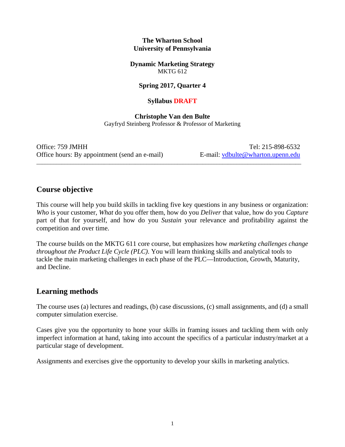#### **The Wharton School University of Pennsylvania**

**Dynamic Marketing Strategy**  MKTG 612

#### **Spring 2017, Quarter 4**

#### **Syllabus DRAFT**

**Christophe Van den Bulte**  Gayfryd Steinberg Professor & Professor of Marketing

\_\_\_\_\_\_\_\_\_\_\_\_\_\_\_\_\_\_\_\_\_\_\_\_\_\_\_\_\_\_\_\_\_\_\_\_\_\_\_\_\_\_\_\_\_\_\_\_\_\_\_\_\_\_\_\_\_\_\_\_\_\_\_\_\_\_\_\_\_\_\_\_\_\_\_\_\_\_\_\_\_\_\_\_\_\_\_\_\_\_\_\_\_\_

Office: 759 JMHH Tel: 215-898-6532 Office hours: By appointment (send an e-mail) E-mail: vdbulte@wharton.upenn.edu

## **Course objective**

This course will help you build skills in tackling five key questions in any business or organization: *Who* is your customer, *What* do you offer them, how do you *Deliver* that value, how do you *Capture* part of that for yourself, and how do you *Sustain* your relevance and profitability against the competition and over time.

The course builds on the MKTG 611 core course, but emphasizes how *marketing challenges change throughout the Product Life Cycle (PLC)*. You will learn thinking skills and analytical tools to tackle the main marketing challenges in each phase of the PLC—Introduction, Growth, Maturity, and Decline.

# **Learning methods**

The course uses (a) lectures and readings, (b) case discussions, (c) small assignments, and (d) a small computer simulation exercise.

Cases give you the opportunity to hone your skills in framing issues and tackling them with only imperfect information at hand, taking into account the specifics of a particular industry/market at a particular stage of development.

Assignments and exercises give the opportunity to develop your skills in marketing analytics.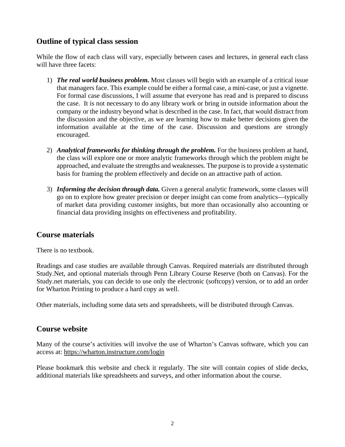# **Outline of typical class session**

While the flow of each class will vary, especially between cases and lectures, in general each class will have three facets:

- 1) *The real world business problem.* Most classes will begin with an example of a critical issue that managers face. This example could be either a formal case, a mini-case, or just a vignette. For formal case discussions, I will assume that everyone has read and is prepared to discuss the case. It is not necessary to do any library work or bring in outside information about the company or the industry beyond what is described in the case. In fact, that would distract from the discussion and the objective, as we are learning how to make better decisions given the information available at the time of the case. Discussion and questions are strongly encouraged.
- 2) *Analytical frameworks for thinking through the problem.* For the business problem at hand, the class will explore one or more analytic frameworks through which the problem might be approached, and evaluate the strengths and weaknesses. The purpose is to provide a systematic basis for framing the problem effectively and decide on an attractive path of action.
- 3) *Informing the decision through data.* Given a general analytic framework, some classes will go on to explore how greater precision or deeper insight can come from analytics—typically of market data providing customer insights, but more than occasionally also accounting or financial data providing insights on effectiveness and profitability.

# **Course materials**

There is no textbook.

Readings and case studies are available through Canvas. Required materials are distributed through Study.Net, and optional materials through Penn Library Course Reserve (both on Canvas). For the Study.net materials, you can decide to use only the electronic (softcopy) version, or to add an order for Wharton Printing to produce a hard copy as well.

Other materials, including some data sets and spreadsheets, will be distributed through Canvas.

#### **Course website**

Many of the course's activities will involve the use of Wharton's Canvas software, which you can access at: https://wharton.instructure.com/login

Please bookmark this website and check it regularly. The site will contain copies of slide decks, additional materials like spreadsheets and surveys, and other information about the course.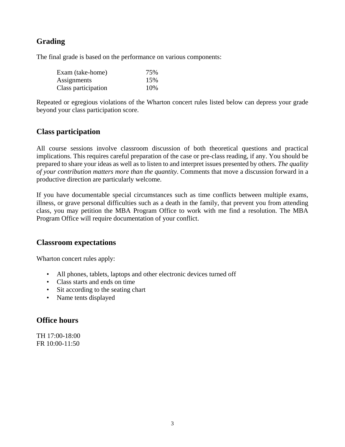# **Grading**

The final grade is based on the performance on various components:

| Exam (take-home)    | 75% |
|---------------------|-----|
| Assignments         | 15% |
| Class participation | 10% |

Repeated or egregious violations of the Wharton concert rules listed below can depress your grade beyond your class participation score.

# **Class participation**

All course sessions involve classroom discussion of both theoretical questions and practical implications. This requires careful preparation of the case or pre-class reading, if any. You should be prepared to share your ideas as well as to listen to and interpret issues presented by others. *The quality of your contribution matters more than the quantity*. Comments that move a discussion forward in a productive direction are particularly welcome.

If you have documentable special circumstances such as time conflicts between multiple exams, illness, or grave personal difficulties such as a death in the family, that prevent you from attending class, you may petition the MBA Program Office to work with me find a resolution. The MBA Program Office will require documentation of your conflict.

## **Classroom expectations**

Wharton concert rules apply:

- All phones, tablets, laptops and other electronic devices turned off
- Class starts and ends on time
- Sit according to the seating chart
- Name tents displayed

# **Office hours**

TH 17:00-18:00 FR 10:00-11:50